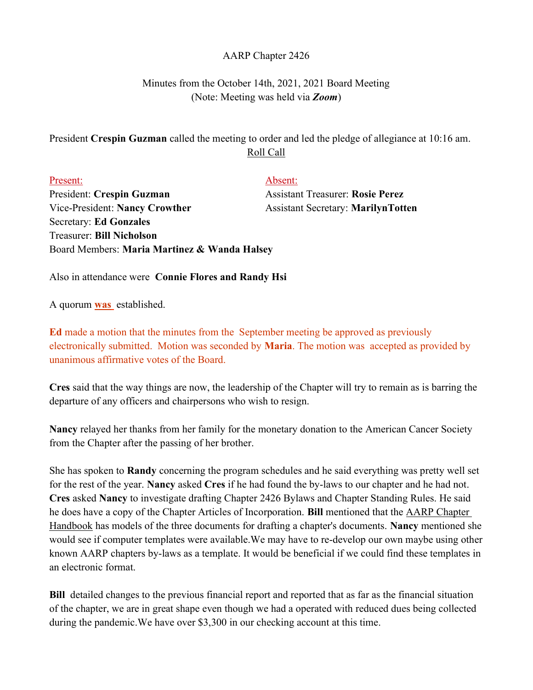## AARP Chapter 2426

## Minutes from the October 14th, 2021, 2021 Board Meeting (Note: Meeting was held via **Zoom**)

## President Crespin Guzman called the meeting to order and led the pledge of allegiance at 10:16 am. Roll Call

| Present:                                     | Absent:                                   |
|----------------------------------------------|-------------------------------------------|
| President: Crespin Guzman                    | <b>Assistant Treasurer: Rosie Perez</b>   |
| Vice-President: Nancy Crowther               | <b>Assistant Secretary: MarilynTotten</b> |
| <b>Secretary: Ed Gonzales</b>                |                                           |
| <b>Treasurer: Bill Nicholson</b>             |                                           |
| Board Members: Maria Martinez & Wanda Halsey |                                           |

Also in attendance were Connie Flores and Randy Hsi

A quorum was established.

Ed made a motion that the minutes from the September meeting be approved as previously electronically submitted. Motion was seconded by Maria. The motion was accepted as provided by unanimous affirmative votes of the Board.

Cres said that the way things are now, the leadership of the Chapter will try to remain as is barring the departure of any officers and chairpersons who wish to resign.

Nancy relayed her thanks from her family for the monetary donation to the American Cancer Society from the Chapter after the passing of her brother.

She has spoken to Randy concerning the program schedules and he said everything was pretty well set for the rest of the year. Nancy asked Cres if he had found the by-laws to our chapter and he had not. Cres asked Nancy to investigate drafting Chapter 2426 Bylaws and Chapter Standing Rules. He said he does have a copy of the Chapter Articles of Incorporation. Bill mentioned that the AARP Chapter Handbook has models of the three documents for drafting a chapter's documents. Nancy mentioned she would see if computer templates were available.We may have to re-develop our own maybe using other known AARP chapters by-laws as a template. It would be beneficial if we could find these templates in an electronic format.

Bill detailed changes to the previous financial report and reported that as far as the financial situation of the chapter, we are in great shape even though we had a operated with reduced dues being collected during the pandemic.We have over \$3,300 in our checking account at this time.